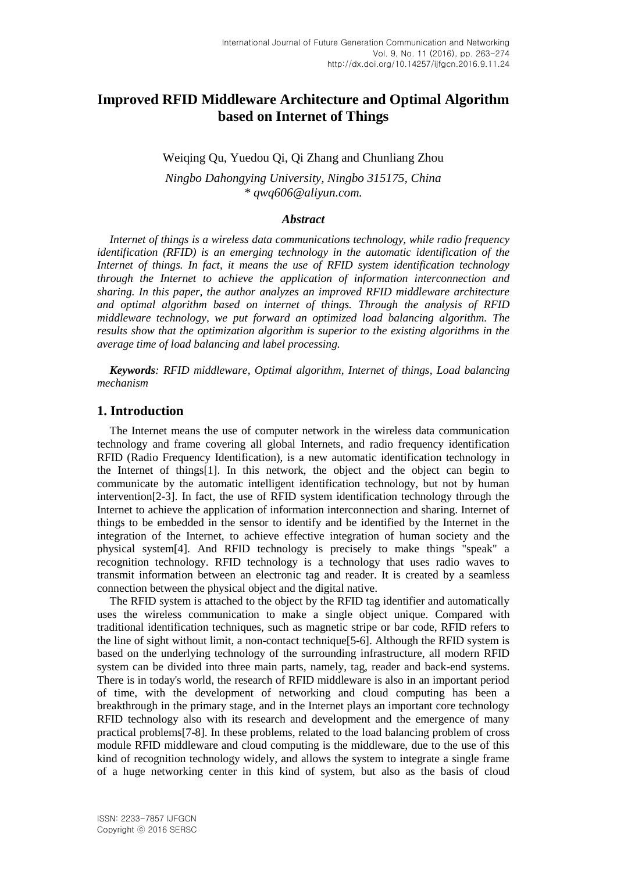# **Improved RFID Middleware Architecture and Optimal Algorithm based on Internet of Things**

Weiqing Qu, Yuedou Qi, Qi Zhang and Chunliang Zhou

*Ningbo Dahongying University, Ningbo 315175, China \* qwq606@aliyun.com.*

#### *Abstract*

*Internet of things is a wireless data communications technology, while radio frequency identification (RFID) is an emerging technology in the automatic identification of the Internet of things. In fact, it means the use of RFID system identification technology through the Internet to achieve the application of information interconnection and sharing. In this paper, the author analyzes an improved RFID middleware architecture and optimal algorithm based on internet of things. Through the analysis of RFID middleware technology, we put forward an optimized load balancing algorithm. The results show that the optimization algorithm is superior to the existing algorithms in the average time of load balancing and label processing.*

*Keywords: RFID middleware, Optimal algorithm, Internet of things, Load balancing mechanism*

#### **1. Introduction**

The Internet means the use of computer network in the wireless data communication technology and frame covering all global Internets, and radio frequency identification RFID (Radio Frequency Identification), is a new automatic identification technology in the Internet of things[1]. In this network, the object and the object can begin to communicate by the automatic intelligent identification technology, but not by human intervention[2-3]. In fact, the use of RFID system identification technology through the Internet to achieve the application of information interconnection and sharing. Internet of things to be embedded in the sensor to identify and be identified by the Internet in the integration of the Internet, to achieve effective integration of human society and the physical system[4]. And RFID technology is precisely to make things "speak" a recognition technology. RFID technology is a technology that uses radio waves to transmit information between an electronic tag and reader. It is created by a seamless connection between the physical object and the digital native.

The RFID system is attached to the object by the RFID tag identifier and automatically uses the wireless communication to make a single object unique. Compared with traditional identification techniques, such as magnetic stripe or bar code, RFID refers to the line of sight without limit, a non-contact technique[5-6]. Although the RFID system is based on the underlying technology of the surrounding infrastructure, all modern RFID system can be divided into three main parts, namely, tag, reader and back-end systems. There is in today's world, the research of RFID middleware is also in an important period of time, with the development of networking and cloud computing has been a breakthrough in the primary stage, and in the Internet plays an important core technology RFID technology also with its research and development and the emergence of many practical problems[7-8]. In these problems, related to the load balancing problem of cross module RFID middleware and cloud computing is the middleware, due to the use of this kind of recognition technology widely, and allows the system to integrate a single frame of a huge networking center in this kind of system, but also as the basis of cloud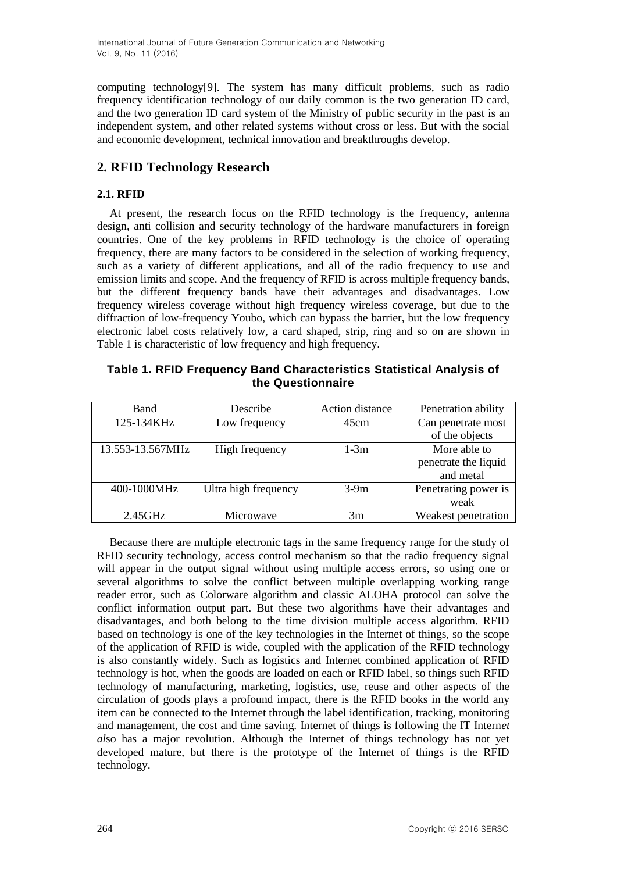computing technology[9]. The system has many difficult problems, such as radio frequency identification technology of our daily common is the two generation ID card, and the two generation ID card system of the Ministry of public security in the past is an independent system, and other related systems without cross or less. But with the social and economic development, technical innovation and breakthroughs develop.

# **2. RFID Technology Research**

### **2.1. RFID**

At present, the research focus on the RFID technology is the frequency, antenna design, anti collision and security technology of the hardware manufacturers in foreign countries. One of the key problems in RFID technology is the choice of operating frequency, there are many factors to be considered in the selection of working frequency, such as a variety of different applications, and all of the radio frequency to use and emission limits and scope. And the frequency of RFID is across multiple frequency bands, but the different frequency bands have their advantages and disadvantages. Low frequency wireless coverage without high frequency wireless coverage, but due to the diffraction of low-frequency Youbo, which can bypass the barrier, but the low frequency electronic label costs relatively low, a card shaped, strip, ring and so on are shown in Table 1 is characteristic of low frequency and high frequency.

| Table 1. RFID Frequency Band Characteristics Statistical Analysis of |                   |  |
|----------------------------------------------------------------------|-------------------|--|
|                                                                      | the Questionnaire |  |

| <b>Band</b>      | Describe             | Action distance | Penetration ability  |
|------------------|----------------------|-----------------|----------------------|
| 125-134KHz       | Low frequency        | 45cm            | Can penetrate most   |
|                  |                      |                 | of the objects       |
| 13.553-13.567MHz | High frequency       | $1-3m$          | More able to         |
|                  |                      |                 | penetrate the liquid |
|                  |                      |                 | and metal            |
| 400-1000MHz      | Ultra high frequency | $3-9m$          | Penetrating power is |
|                  |                      |                 | weak                 |
| $2.45\text{GHz}$ | Microwave            | 3m              | Weakest penetration  |

Because there are multiple electronic tags in the same frequency range for the study of RFID security technology, access control mechanism so that the radio frequency signal will appear in the output signal without using multiple access errors, so using one or several algorithms to solve the conflict between multiple overlapping working range reader error, such as Colorware algorithm and classic ALOHA protocol can solve the conflict information output part. But these two algorithms have their advantages and disadvantages, and both belong to the time division multiple access algorithm. RFID based on technology is one of the key technologies in the Internet of things, so the scope of the application of RFID is wide, coupled with the application of the RFID technology is also constantly widely. Such as logistics and Internet combined application of RFID technology is hot, when the goods are loaded on each or RFID label, so things such RFID technology of manufacturing, marketing, logistics, use, reuse and other aspects of the circulation of goods plays a profound impact, there is the RFID books in the world any item can be connected to the Internet through the label identification, tracking, monitoring and management, the cost and time saving. Internet of things is following the IT Intern*et al*so has a major revolution. Although the Internet of things technology has not yet developed mature, but there is the prototype of the Internet of things is the RFID technology.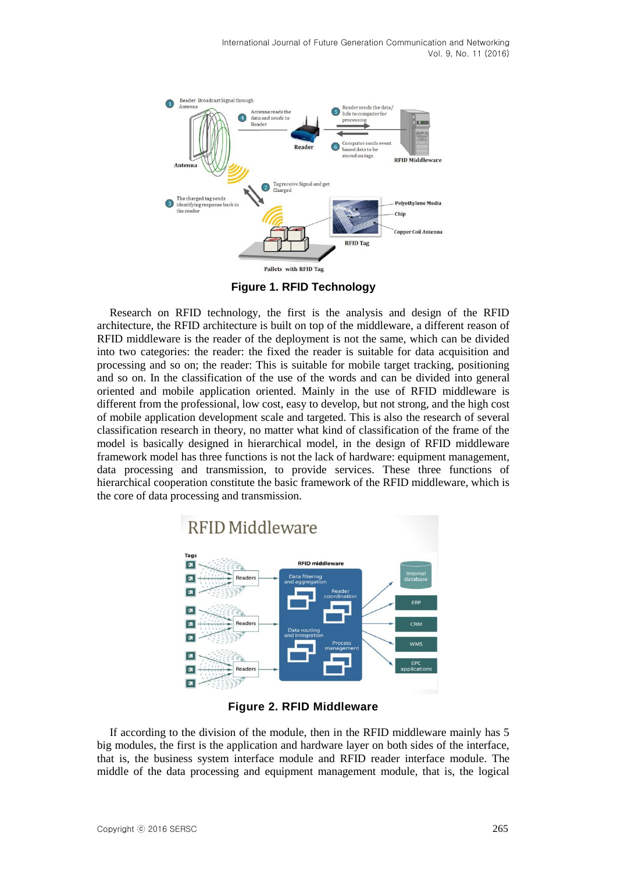

**Figure 1. RFID Technology** 

Research on RFID technology, the first is the analysis and design of the RFID architecture, the RFID architecture is built on top of the middleware, a different reason of RFID middleware is the reader of the deployment is not the same, which can be divided into two categories: the reader: the fixed the reader is suitable for data acquisition and processing and so on; the reader: This is suitable for mobile target tracking, positioning and so on. In the classification of the use of the words and can be divided into general oriented and mobile application oriented. Mainly in the use of RFID middleware is different from the professional, low cost, easy to develop, but not strong, and the high cost of mobile application development scale and targeted. This is also the research of several classification research in theory, no matter what kind of classification of the frame of the model is basically designed in hierarchical model, in the design of RFID middleware framework model has three functions is not the lack of hardware: equipment management, data processing and transmission, to provide services. These three functions of hierarchical cooperation constitute the basic framework of the RFID middleware, which is the core of data processing and transmission.



**Figure 2. RFID Middleware**

If according to the division of the module, then in the RFID middleware mainly has 5 big modules, the first is the application and hardware layer on both sides of the interface, that is, the business system interface module and RFID reader interface module. The middle of the data processing and equipment management module, that is, the logical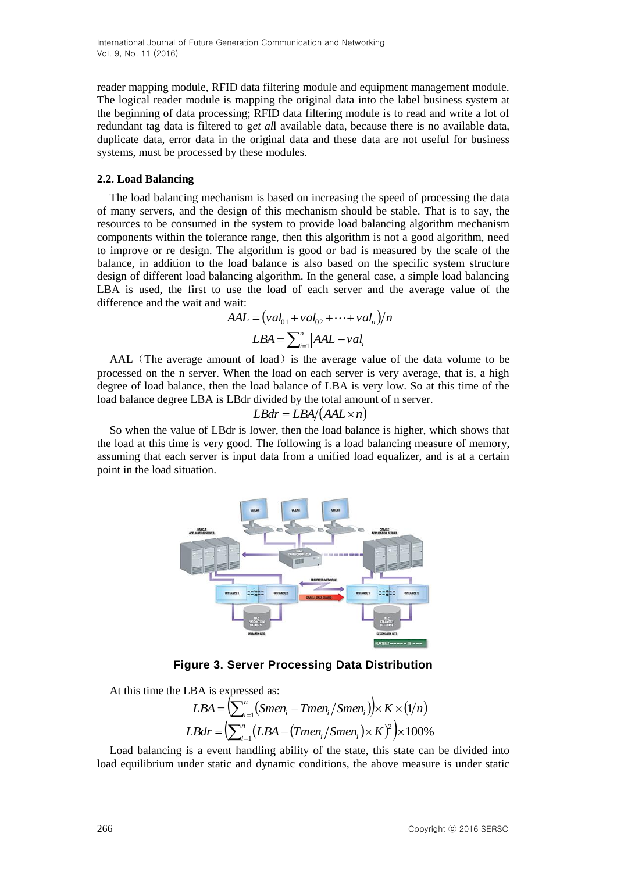reader mapping module, RFID data filtering module and equipment management module. The logical reader module is mapping the original data into the label business system at the beginning of data processing; RFID data filtering module is to read and write a lot of redundant tag data is filtered to g*et al*l available data, because there is no available data, duplicate data, error data in the original data and these data are not useful for business systems, must be processed by these modules.

#### **2.2. Load Balancing**

The load balancing mechanism is based on increasing the speed of processing the data of many servers, and the design of this mechanism should be stable. That is to say, the resources to be consumed in the system to provide load balancing algorithm mechanism components within the tolerance range, then this algorithm is not a good algorithm, need to improve or re design. The algorithm is good or bad is measured by the scale of the balance, in addition to the load balance is also based on the specific system structure design of different load balancing algorithm. In the general case, a simple load balancing LBA is used, the first to use the load of each server and the average value of the difference and the wait and wait:

$$
AAL = (val01 + val02 + \cdots + valn)/n
$$

$$
LBA = \sum_{i=1}^{n} |AAL - vali|
$$

AAL (The average amount of load) is the average value of the data volume to be processed on the n server. When the load on each server is very average, that is, a high degree of load balance, then the load balance of LBA is very low. So at this time of the load balance degree LBA is LBdr divided by the total amount of n server.

$$
LBdr = LBA/(AAL \times n)
$$

So when the value of LBdr is lower, then the load balance is higher, which shows that the load at this time is very good. The following is a load balancing measure of memory, assuming that each server is input data from a unified load equalizer, and is at a certain point in the load situation.



**Figure 3. Server Processing Data Distribution**

At this time the LBA is expressed as:

$$
LBA = \left(\sum_{i=1}^{n} (Smen_i - Tmen_i / Smen_i)\right) \times K \times (1/n)
$$
  

$$
LBdr = \left(\sum_{i=1}^{n} (LBA - (Tmen_i / Smen_i) \times K)^2\right) \times 100\%
$$

Load balancing is a event handling ability of the state, this state can be divided into load equilibrium under static and dynamic conditions, the above measure is under static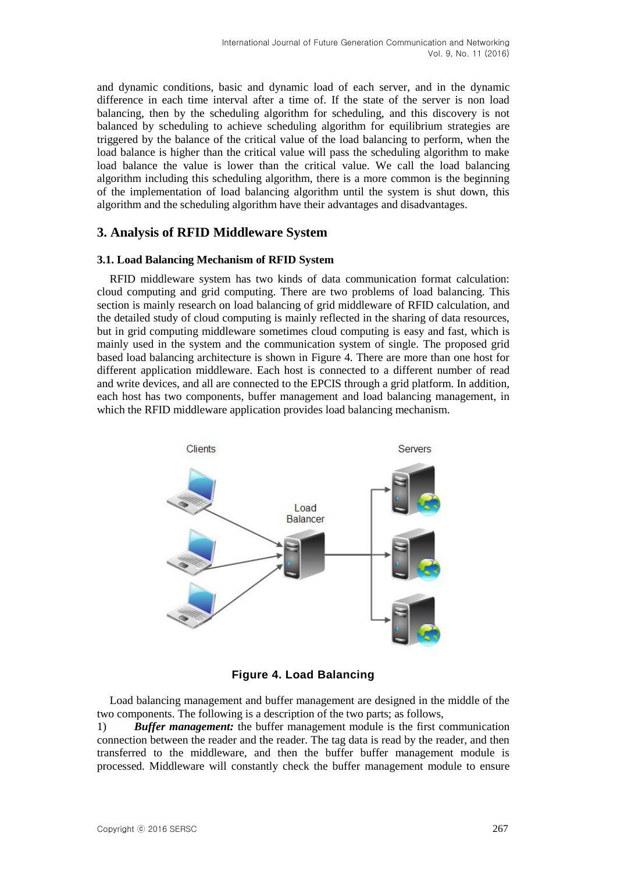and dynamic conditions, basic and dynamic load of each server, and in the dynamic difference in each time interval after a time of. If the state of the server is non load balancing, then by the scheduling algorithm for scheduling, and this discovery is not balanced by scheduling to achieve scheduling algorithm for equilibrium strategies are triggered by the balance of the critical value of the load balancing to perform, when the load balance is higher than the critical value will pass the scheduling algorithm to make load balance the value is lower than the critical value. We call the load balancing algorithm including this scheduling algorithm, there is a more common is the beginning of the implementation of load balancing algorithm until the system is shut down, this algorithm and the scheduling algorithm have their advantages and disadvantages.

# **3. Analysis of RFID Middleware System**

#### **3.1. Load Balancing Mechanism of RFID System**

RFID middleware system has two kinds of data communication format calculation: cloud computing and grid computing. There are two problems of load balancing. This section is mainly research on load balancing of grid middleware of RFID calculation, and the detailed study of cloud computing is mainly reflected in the sharing of data resources, but in grid computing middleware sometimes cloud computing is easy and fast, which is mainly used in the system and the communication system of single. The proposed grid based load balancing architecture is shown in Figure 4. There are more than one host for different application middleware. Each host is connected to a different number of read and write devices, and all are connected to the EPCIS through a grid platform. In addition, each host has two components, buffer management and load balancing management, in which the RFID middleware application provides load balancing mechanism.



**Figure 4. Load Balancing**

Load balancing management and buffer management are designed in the middle of the two components. The following is a description of the two parts; as follows,

1) *Buffer management:* the buffer management module is the first communication connection between the reader and the reader. The tag data is read by the reader, and then transferred to the middleware, and then the buffer buffer management module is processed. Middleware will constantly check the buffer management module to ensure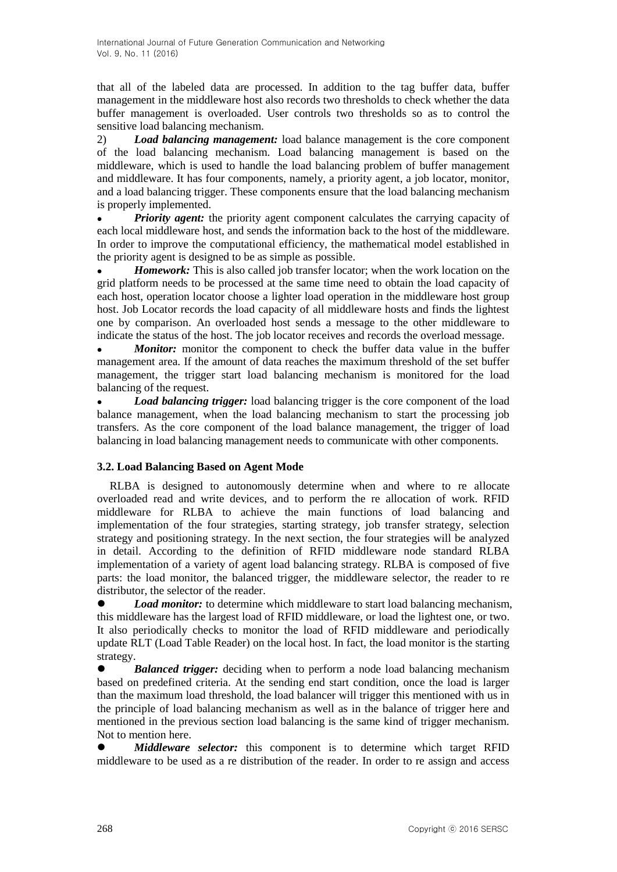that all of the labeled data are processed. In addition to the tag buffer data, buffer management in the middleware host also records two thresholds to check whether the data buffer management is overloaded. User controls two thresholds so as to control the sensitive load balancing mechanism.

2) *Load balancing management:* load balance management is the core component of the load balancing mechanism. Load balancing management is based on the middleware, which is used to handle the load balancing problem of buffer management and middleware. It has four components, namely, a priority agent, a job locator, monitor, and a load balancing trigger. These components ensure that the load balancing mechanism is properly implemented.

• *Priority agent:* the priority agent component calculates the carrying capacity of each local middleware host, and sends the information back to the host of the middleware. In order to improve the computational efficiency, the mathematical model established in the priority agent is designed to be as simple as possible.

*Homework:* This is also called job transfer locator; when the work location on the grid platform needs to be processed at the same time need to obtain the load capacity of each host, operation locator choose a lighter load operation in the middleware host group host. Job Locator records the load capacity of all middleware hosts and finds the lightest one by comparison. An overloaded host sends a message to the other middleware to indicate the status of the host. The job locator receives and records the overload message.

*Monitor:* monitor the component to check the buffer data value in the buffer management area. If the amount of data reaches the maximum threshold of the set buffer management, the trigger start load balancing mechanism is monitored for the load balancing of the request.

 *Load balancing trigger:* load balancing trigger is the core component of the load balance management, when the load balancing mechanism to start the processing job transfers. As the core component of the load balance management, the trigger of load balancing in load balancing management needs to communicate with other components.

# **3.2. Load Balancing Based on Agent Mode**

RLBA is designed to autonomously determine when and where to re allocate overloaded read and write devices, and to perform the re allocation of work. RFID middleware for RLBA to achieve the main functions of load balancing and implementation of the four strategies, starting strategy, job transfer strategy, selection strategy and positioning strategy. In the next section, the four strategies will be analyzed in detail. According to the definition of RFID middleware node standard RLBA implementation of a variety of agent load balancing strategy. RLBA is composed of five parts: the load monitor, the balanced trigger, the middleware selector, the reader to re distributor, the selector of the reader.

 *Load monitor:* to determine which middleware to start load balancing mechanism, this middleware has the largest load of RFID middleware, or load the lightest one, or two. It also periodically checks to monitor the load of RFID middleware and periodically update RLT (Load Table Reader) on the local host. In fact, the load monitor is the starting strategy.

 *Balanced trigger:* deciding when to perform a node load balancing mechanism based on predefined criteria. At the sending end start condition, once the load is larger than the maximum load threshold, the load balancer will trigger this mentioned with us in the principle of load balancing mechanism as well as in the balance of trigger here and mentioned in the previous section load balancing is the same kind of trigger mechanism. Not to mention here.

 *Middleware selector:* this component is to determine which target RFID middleware to be used as a re distribution of the reader. In order to re assign and access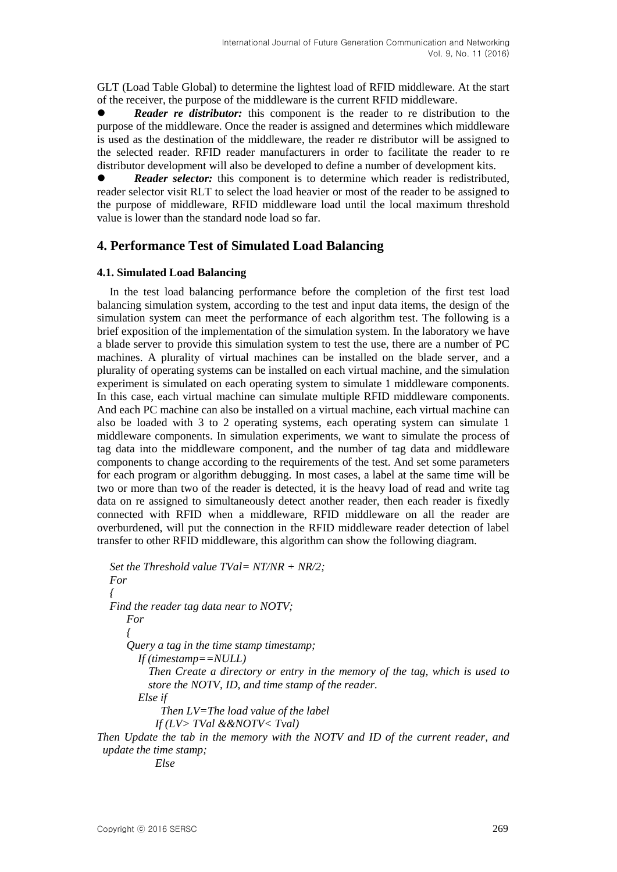GLT (Load Table Global) to determine the lightest load of RFID middleware. At the start of the receiver, the purpose of the middleware is the current RFID middleware.

 *Reader re distributor:* this component is the reader to re distribution to the purpose of the middleware. Once the reader is assigned and determines which middleware is used as the destination of the middleware, the reader re distributor will be assigned to the selected reader. RFID reader manufacturers in order to facilitate the reader to re distributor development will also be developed to define a number of development kits.

 *Reader selector:* this component is to determine which reader is redistributed, reader selector visit RLT to select the load heavier or most of the reader to be assigned to the purpose of middleware, RFID middleware load until the local maximum threshold value is lower than the standard node load so far.

### **4. Performance Test of Simulated Load Balancing**

#### **4.1. Simulated Load Balancing**

In the test load balancing performance before the completion of the first test load balancing simulation system, according to the test and input data items, the design of the simulation system can meet the performance of each algorithm test. The following is a brief exposition of the implementation of the simulation system. In the laboratory we have a blade server to provide this simulation system to test the use, there are a number of PC machines. A plurality of virtual machines can be installed on the blade server, and a plurality of operating systems can be installed on each virtual machine, and the simulation experiment is simulated on each operating system to simulate 1 middleware components. In this case, each virtual machine can simulate multiple RFID middleware components. And each PC machine can also be installed on a virtual machine, each virtual machine can also be loaded with 3 to 2 operating systems, each operating system can simulate 1 middleware components. In simulation experiments, we want to simulate the process of tag data into the middleware component, and the number of tag data and middleware components to change according to the requirements of the test. And set some parameters for each program or algorithm debugging. In most cases, a label at the same time will be two or more than two of the reader is detected, it is the heavy load of read and write tag data on re assigned to simultaneously detect another reader, then each reader is fixedly connected with RFID when a middleware, RFID middleware on all the reader are overburdened, will put the connection in the RFID middleware reader detection of label transfer to other RFID middleware, this algorithm can show the following diagram.

```
Set the Threshold value TVal= NT/NR + NR/2;
  For
  { 
  Find the reader tag data near to NOTV;
     For
      {
      Query a tag in the time stamp timestamp;
        If (timestamp==NULL)
           Then Create a directory or entry in the memory of the tag, which is used to 
          store the NOTV, ID, and time stamp of the reader.
        Else if
             Then LV=The load value of the label
            If (LV> TVal &&NOTV< Tval)
Then Update the tab in the memory with the NOTV and ID of the current reader, and 
 update the time stamp;
```
*Else*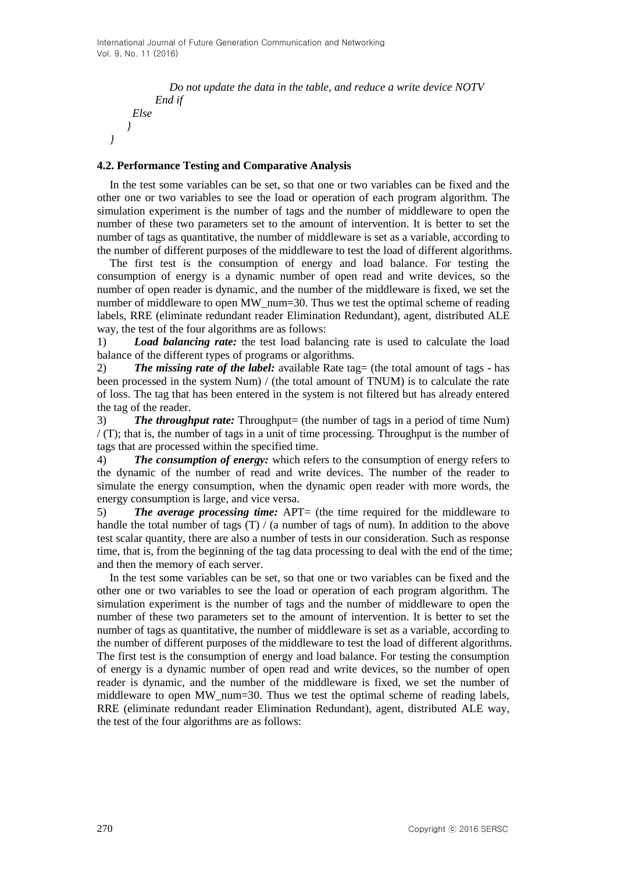```
 Do not update the data in the table, and reduce a write device NOTV
      End if
 Else
}
```
#### **4.2. Performance Testing and Comparative Analysis**

*}*

In the test some variables can be set, so that one or two variables can be fixed and the other one or two variables to see the load or operation of each program algorithm. The simulation experiment is the number of tags and the number of middleware to open the number of these two parameters set to the amount of intervention. It is better to set the number of tags as quantitative, the number of middleware is set as a variable, according to the number of different purposes of the middleware to test the load of different algorithms.

The first test is the consumption of energy and load balance. For testing the consumption of energy is a dynamic number of open read and write devices, so the number of open reader is dynamic, and the number of the middleware is fixed, we set the number of middleware to open MW\_num=30. Thus we test the optimal scheme of reading labels, RRE (eliminate redundant reader Elimination Redundant), agent, distributed ALE way, the test of the four algorithms are as follows:

1) *Load balancing rate:* the test load balancing rate is used to calculate the load balance of the different types of programs or algorithms.

2) *The missing rate of the label:* available Rate tag = (the total amount of tags - has been processed in the system Num) / (the total amount of TNUM) is to calculate the rate of loss. The tag that has been entered in the system is not filtered but has already entered the tag of the reader.

3) *The throughput rate:* Throughput= (the number of tags in a period of time Num)  $/$  (T); that is, the number of tags in a unit of time processing. Throughput is the number of tags that are processed within the specified time.

4) *The consumption of energy:* which refers to the consumption of energy refers to the dynamic of the number of read and write devices. The number of the reader to simulate the energy consumption, when the dynamic open reader with more words, the energy consumption is large, and vice versa.

5) **The average processing time:** APT= (the time required for the middleware to handle the total number of tags  $(T) / (a$  number of tags of num). In addition to the above test scalar quantity, there are also a number of tests in our consideration. Such as response time, that is, from the beginning of the tag data processing to deal with the end of the time; and then the memory of each server.

In the test some variables can be set, so that one or two variables can be fixed and the other one or two variables to see the load or operation of each program algorithm. The simulation experiment is the number of tags and the number of middleware to open the number of these two parameters set to the amount of intervention. It is better to set the number of tags as quantitative, the number of middleware is set as a variable, according to the number of different purposes of the middleware to test the load of different algorithms. The first test is the consumption of energy and load balance. For testing the consumption of energy is a dynamic number of open read and write devices, so the number of open reader is dynamic, and the number of the middleware is fixed, we set the number of middleware to open MW\_num=30. Thus we test the optimal scheme of reading labels, RRE (eliminate redundant reader Elimination Redundant), agent, distributed ALE way, the test of the four algorithms are as follows: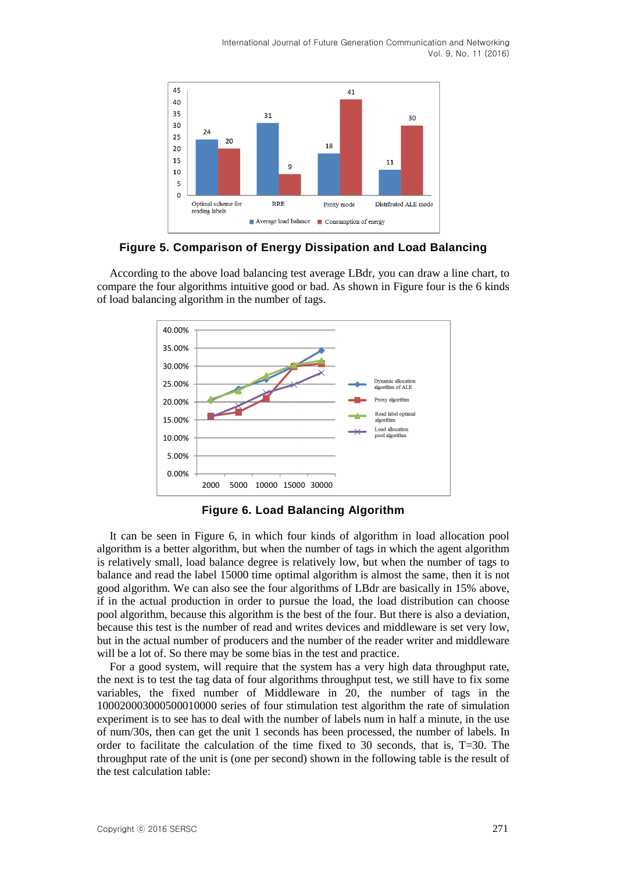International Journal of Future Generation Communication and Networking Vol. 9, No. 11 (2016)



#### **Figure 5. Comparison of Energy Dissipation and Load Balancing**

According to the above load balancing test average LBdr, you can draw a line chart, to compare the four algorithms intuitive good or bad. As shown in Figure four is the 6 kinds of load balancing algorithm in the number of tags.



**Figure 6. Load Balancing Algorithm**

It can be seen in Figure 6, in which four kinds of algorithm in load allocation pool algorithm is a better algorithm, but when the number of tags in which the agent algorithm is relatively small, load balance degree is relatively low, but when the number of tags to balance and read the label 15000 time optimal algorithm is almost the same, then it is not good algorithm. We can also see the four algorithms of LBdr are basically in 15% above, if in the actual production in order to pursue the load, the load distribution can choose pool algorithm, because this algorithm is the best of the four. But there is also a deviation, because this test is the number of read and writes devices and middleware is set very low, but in the actual number of producers and the number of the reader writer and middleware will be a lot of. So there may be some bias in the test and practice.

For a good system, will require that the system has a very high data throughput rate, the next is to test the tag data of four algorithms throughput test, we still have to fix some variables, the fixed number of Middleware in 20, the number of tags in the 100020003000500010000 series of four stimulation test algorithm the rate of simulation experiment is to see has to deal with the number of labels num in half a minute, in the use of num/30s, then can get the unit 1 seconds has been processed, the number of labels. In order to facilitate the calculation of the time fixed to 30 seconds, that is, T=30. The throughput rate of the unit is (one per second) shown in the following table is the result of the test calculation table: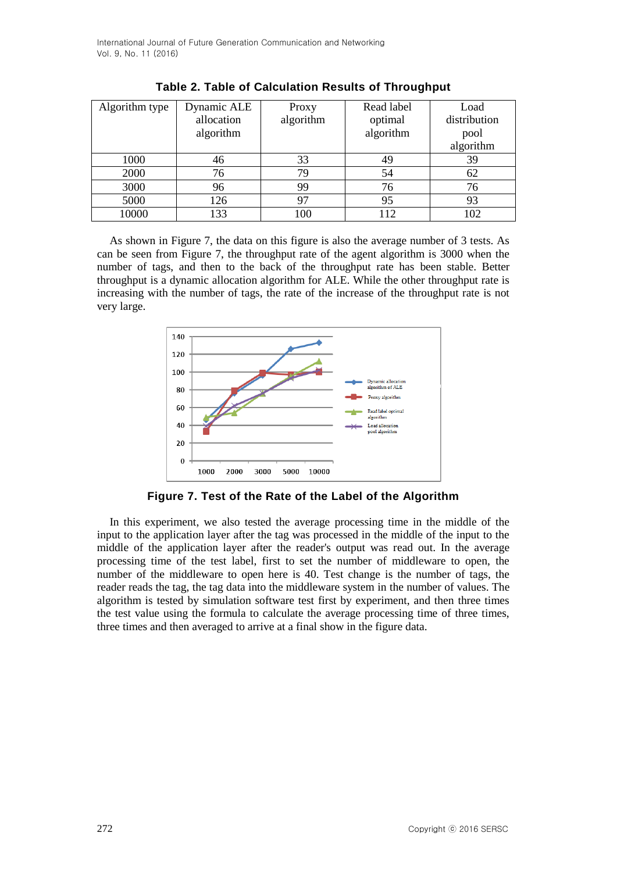| Algorithm type | Dynamic ALE | Proxy     | Read label | Load         |
|----------------|-------------|-----------|------------|--------------|
|                | allocation  | algorithm | optimal    | distribution |
|                | algorithm   |           | algorithm  | pool         |
|                |             |           |            | algorithm    |
| 1000           | 46          | 33        | 49         | 39           |
| 2000           | 76          | 79        | 54         | 62           |
| 3000           | 96          | 99        | 76         | 76           |
| 5000           | 126         |           | 95         | 93           |
| 10000          | 133         | 100       | 112        |              |

As shown in Figure 7, the data on this figure is also the average number of 3 tests. As can be seen from Figure 7, the throughput rate of the agent algorithm is 3000 when the number of tags, and then to the back of the throughput rate has been stable. Better throughput is a dynamic allocation algorithm for ALE. While the other throughput rate is increasing with the number of tags, the rate of the increase of the throughput rate is not very large.



**Figure 7. Test of the Rate of the Label of the Algorithm**

In this experiment, we also tested the average processing time in the middle of the input to the application layer after the tag was processed in the middle of the input to the middle of the application layer after the reader's output was read out. In the average processing time of the test label, first to set the number of middleware to open, the number of the middleware to open here is 40. Test change is the number of tags, the reader reads the tag, the tag data into the middleware system in the number of values. The algorithm is tested by simulation software test first by experiment, and then three times the test value using the formula to calculate the average processing time of three times, three times and then averaged to arrive at a final show in the figure data.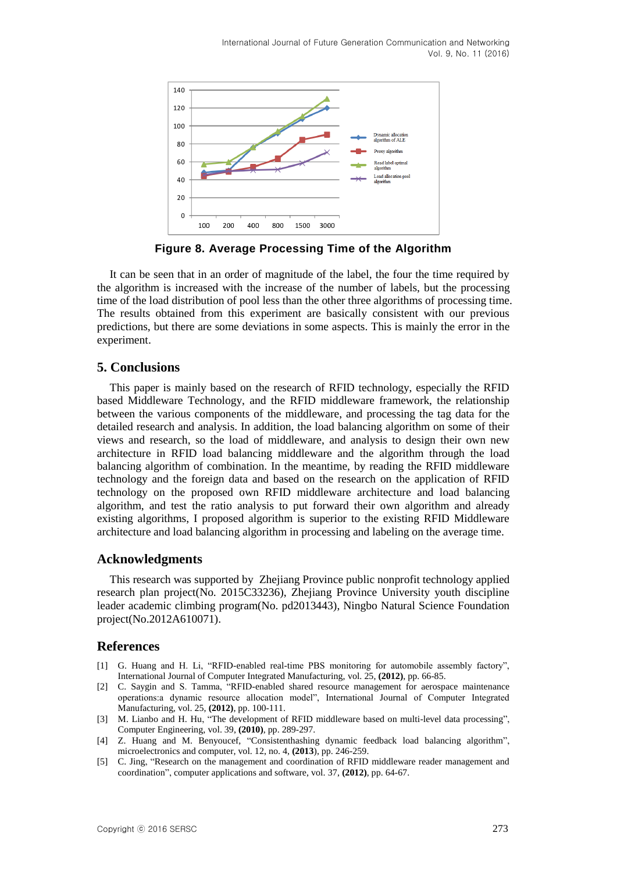

**Figure 8. Average Processing Time of the Algorithm**

It can be seen that in an order of magnitude of the label, the four the time required by the algorithm is increased with the increase of the number of labels, but the processing time of the load distribution of pool less than the other three algorithms of processing time. The results obtained from this experiment are basically consistent with our previous predictions, but there are some deviations in some aspects. This is mainly the error in the experiment.

# **5. Conclusions**

This paper is mainly based on the research of RFID technology, especially the RFID based Middleware Technology, and the RFID middleware framework, the relationship between the various components of the middleware, and processing the tag data for the detailed research and analysis. In addition, the load balancing algorithm on some of their views and research, so the load of middleware, and analysis to design their own new architecture in RFID load balancing middleware and the algorithm through the load balancing algorithm of combination. In the meantime, by reading the RFID middleware technology and the foreign data and based on the research on the application of RFID technology on the proposed own RFID middleware architecture and load balancing algorithm, and test the ratio analysis to put forward their own algorithm and already existing algorithms, I proposed algorithm is superior to the existing RFID Middleware architecture and load balancing algorithm in processing and labeling on the average time.

# **Acknowledgments**

This research was supported by Zhejiang Province public nonprofit technology applied research plan project(No. 2015C33236), Zhejiang Province University youth discipline leader academic climbing program(No. pd2013443), Ningbo Natural Science Foundation project(No.2012A610071).

# **References**

- [1] G. Huang and H. Li, "RFID-enabled real-time PBS monitoring for automobile assembly factory", International Journal of Computer Integrated Manufacturing, vol. 25, **(2012)**, pp. 66-85.
- [2] C. Saygin and S. Tamma, "RFID-enabled shared resource management for aerospace maintenance operations:a dynamic resource allocation model", International Journal of Computer Integrated Manufacturing, vol. 25, **(2012)**, pp. 100-111.
- [3] M. Lianbo and H. Hu, "The development of RFID middleware based on multi-level data processing", Computer Engineering, vol. 39, **(2010)**, pp. 289-297.
- [4] Z. Huang and M. Benyoucef, "Consistenthashing dynamic feedback load balancing algorithm", microelectronics and computer, vol. 12, no. 4, **(2013**), pp. 246-259.
- [5] C. Jing, "Research on the management and coordination of RFID middleware reader management and coordination", computer applications and software, vol. 37, **(2012)**, pp. 64-67.